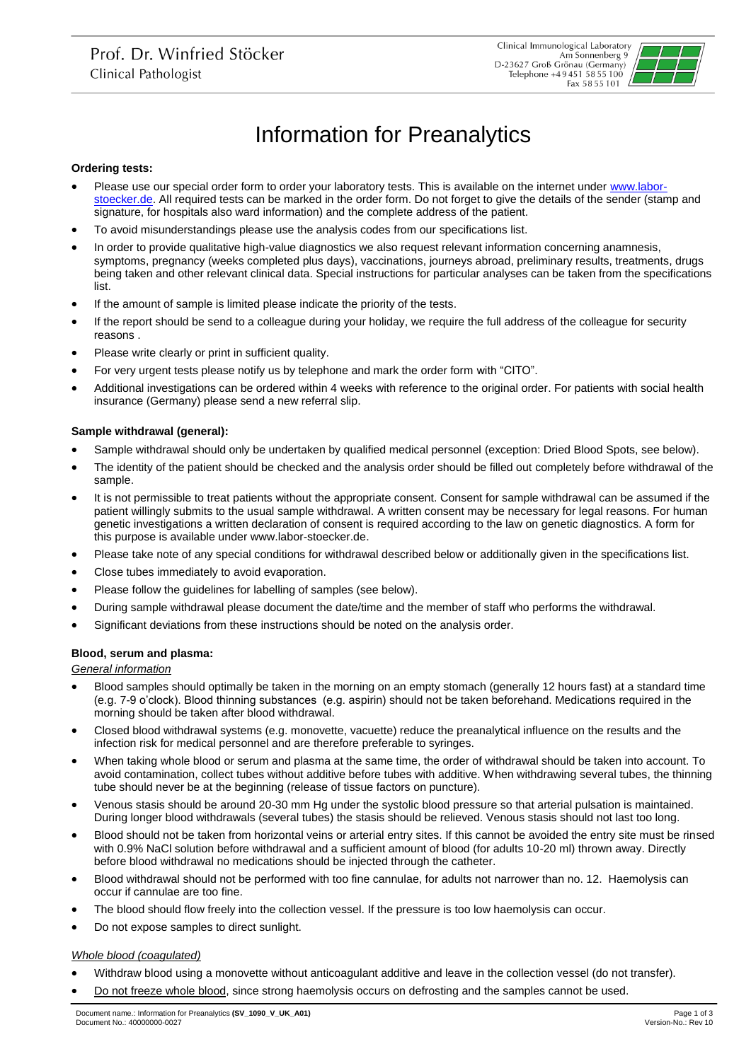

# Information for Preanalytics

## **Ordering tests:**

- Please use our special order form to order your laboratory tests. This is available on the internet under [www.labor](http://www.labor-stoecker.de/)[stoecker.de.](http://www.labor-stoecker.de/) All required tests can be marked in the order form. Do not forget to give the details of the sender (stamp and signature, for hospitals also ward information) and the complete address of the patient.
- To avoid misunderstandings please use the analysis codes from our specifications list.
- In order to provide qualitative high-value diagnostics we also request relevant information concerning anamnesis, symptoms, pregnancy (weeks completed plus days), vaccinations, journeys abroad, preliminary results, treatments, drugs being taken and other relevant clinical data. Special instructions for particular analyses can be taken from the specifications list.
- If the amount of sample is limited please indicate the priority of the tests.
- If the report should be send to a colleague during your holiday, we require the full address of the colleague for security reasons .
- Please write clearly or print in sufficient quality.
- For very urgent tests please notify us by telephone and mark the order form with "CITO".
- Additional investigations can be ordered within 4 weeks with reference to the original order. For patients with social health insurance (Germany) please send a new referral slip.

## **Sample withdrawal (general):**

- Sample withdrawal should only be undertaken by qualified medical personnel (exception: Dried Blood Spots, see below).
- The identity of the patient should be checked and the analysis order should be filled out completely before withdrawal of the sample.
- It is not permissible to treat patients without the appropriate consent. Consent for sample withdrawal can be assumed if the patient willingly submits to the usual sample withdrawal. A written consent may be necessary for legal reasons. For human genetic investigations a written declaration of consent is required according to the law on genetic diagnostics. A form for this purpose is available unde[r www.labor-stoecker.de.](http://www.labor-stoecker.de/)
- Please take note of any special conditions for withdrawal described below or additionally given in the specifications list.
- Close tubes immediately to avoid evaporation.
- Please follow the guidelines for labelling of samples (see below).
- During sample withdrawal please document the date/time and the member of staff who performs the withdrawal.
- Significant deviations from these instructions should be noted on the analysis order.

# **Blood, serum and plasma:**

*General information*

- Blood samples should optimally be taken in the morning on an empty stomach (generally 12 hours fast) at a standard time (e.g. 7-9 o'clock). Blood thinning substances (e.g. aspirin) should not be taken beforehand. Medications required in the morning should be taken after blood withdrawal.
- Closed blood withdrawal systems (e.g. monovette, vacuette) reduce the preanalytical influence on the results and the infection risk for medical personnel and are therefore preferable to syringes.
- When taking whole blood or serum and plasma at the same time, the order of withdrawal should be taken into account. To avoid contamination, collect tubes without additive before tubes with additive. When withdrawing several tubes, the thinning tube should never be at the beginning (release of tissue factors on puncture).
- Venous stasis should be around 20-30 mm Hg under the systolic blood pressure so that arterial pulsation is maintained. During longer blood withdrawals (several tubes) the stasis should be relieved. Venous stasis should not last too long.
- Blood should not be taken from horizontal veins or arterial entry sites. If this cannot be avoided the entry site must be rinsed with 0.9% NaCl solution before withdrawal and a sufficient amount of blood (for adults 10-20 ml) thrown away. Directly before blood withdrawal no medications should be injected through the catheter.
- Blood withdrawal should not be performed with too fine cannulae, for adults not narrower than no. 12. Haemolysis can occur if cannulae are too fine.
- The blood should flow freely into the collection vessel. If the pressure is too low haemolysis can occur.
- Do not expose samples to direct sunlight.

### *Whole blood (coagulated)*

- Withdraw blood using a monovette without anticoagulant additive and leave in the collection vessel (do not transfer).
- Do not freeze whole blood, since strong haemolysis occurs on defrosting and the samples cannot be used.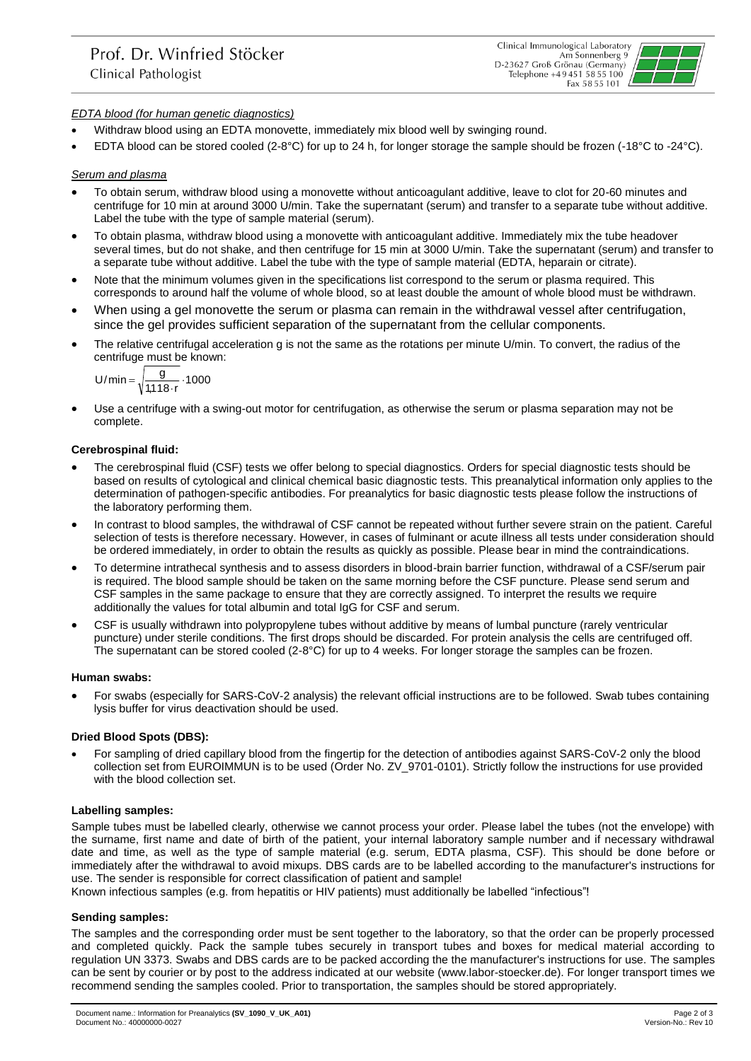

# *EDTA blood (for human genetic diagnostics)*

- Withdraw blood using an EDTA monovette, immediately mix blood well by swinging round.
- EDTA blood can be stored cooled (2-8°C) for up to 24 h, for longer storage the sample should be frozen (-18°C to -24°C).

## *Serum and plasma*

- To obtain serum, withdraw blood using a monovette without anticoagulant additive, leave to clot for 20-60 minutes and centrifuge for 10 min at around 3000 U/min. Take the supernatant (serum) and transfer to a separate tube without additive. Label the tube with the type of sample material (serum).
- To obtain plasma, withdraw blood using a monovette with anticoagulant additive. Immediately mix the tube headover several times, but do not shake, and then centrifuge for 15 min at 3000 U/min. Take the supernatant (serum) and transfer to a separate tube without additive. Label the tube with the type of sample material (EDTA, heparain or citrate).
- Note that the minimum volumes given in the specifications list correspond to the serum or plasma required. This corresponds to around half the volume of whole blood, so at least double the amount of whole blood must be withdrawn.
- When using a gel monovette the serum or plasma can remain in the withdrawal vessel after centrifugation, since the gel provides sufficient separation of the supernatant from the cellular components.
- The relative centrifugal acceleration g is not the same as the rotations per minute U/min. To convert, the radius of the centrifuge must be known:

$$
U/min = \sqrt{\frac{g}{1,118\cdot r}}\cdot 1000
$$

 Use a centrifuge with a swing-out motor for centrifugation, as otherwise the serum or plasma separation may not be complete.

## **Cerebrospinal fluid:**

- The cerebrospinal fluid (CSF) tests we offer belong to special diagnostics. Orders for special diagnostic tests should be based on results of cytological and clinical chemical basic diagnostic tests. This preanalytical information only applies to the determination of pathogen-specific antibodies. For preanalytics for basic diagnostic tests please follow the instructions of the laboratory performing them.
- In contrast to blood samples, the withdrawal of CSF cannot be repeated without further severe strain on the patient. Careful selection of tests is therefore necessary. However, in cases of fulminant or acute illness all tests under consideration should be ordered immediately, in order to obtain the results as quickly as possible. Please bear in mind the contraindications.
- To determine intrathecal synthesis and to assess disorders in blood-brain barrier function, withdrawal of a CSF/serum pair is required. The blood sample should be taken on the same morning before the CSF puncture. Please send serum and CSF samples in the same package to ensure that they are correctly assigned. To interpret the results we require additionally the values for total albumin and total IgG for CSF and serum.
- CSF is usually withdrawn into polypropylene tubes without additive by means of lumbal puncture (rarely ventricular puncture) under sterile conditions. The first drops should be discarded. For protein analysis the cells are centrifuged off. The supernatant can be stored cooled (2-8°C) for up to 4 weeks. For longer storage the samples can be frozen.

### **Human swabs:**

 For swabs (especially for SARS-CoV-2 analysis) the relevant official instructions are to be followed. Swab tubes containing lysis buffer for virus deactivation should be used.

# **Dried Blood Spots (DBS):**

 For sampling of dried capillary blood from the fingertip for the detection of antibodies against SARS-CoV-2 only the blood collection set from EUROIMMUN is to be used (Order No. ZV\_9701-0101). Strictly follow the instructions for use provided with the blood collection set.

### **Labelling samples:**

Sample tubes must be labelled clearly, otherwise we cannot process your order. Please label the tubes (not the envelope) with the surname, first name and date of birth of the patient, your internal laboratory sample number and if necessary withdrawal date and time, as well as the type of sample material (e.g. serum, EDTA plasma, CSF). This should be done before or immediately after the withdrawal to avoid mixups. DBS cards are to be labelled according to the manufacturer's instructions for use. The sender is responsible for correct classification of patient and sample!

Known infectious samples (e.g. from hepatitis or HIV patients) must additionally be labelled "infectious"!

### **Sending samples:**

The samples and the corresponding order must be sent together to the laboratory, so that the order can be properly processed and completed quickly. Pack the sample tubes securely in transport tubes and boxes for medical material according to regulation UN 3373. Swabs and DBS cards are to be packed according the the manufacturer's instructions for use. The samples can be sent by courier or by post to the address indicated at our website (www.labor-stoecker.de). For longer transport times we recommend sending the samples cooled. Prior to transportation, the samples should be stored appropriately.